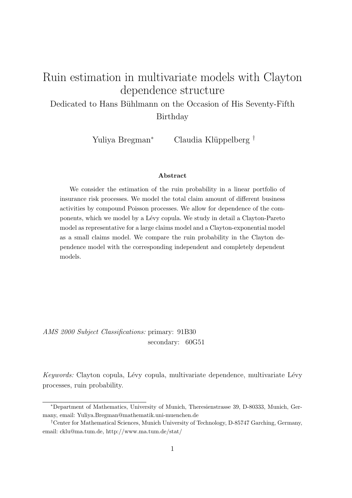# Ruin estimation in multivariate models with Clayton dependence structure

Dedicated to Hans Bühlmann on the Occasion of His Seventy-Fifth Birthday

Yuliya Bregman<sup>∗</sup> Claudia Klüppelberg <sup>†</sup>

#### Abstract

We consider the estimation of the ruin probability in a linear portfolio of insurance risk processes. We model the total claim amount of different business activities by compound Poisson processes. We allow for dependence of the components, which we model by a L´evy copula. We study in detail a Clayton-Pareto model as representative for a large claims model and a Clayton-exponential model as a small claims model. We compare the ruin probability in the Clayton dependence model with the corresponding independent and completely dependent models.

AMS 2000 Subject Classifications: primary: 91B30 secondary: 60G51

Keywords: Clayton copula, Lévy copula, multivariate dependence, multivariate Lévy processes, ruin probability.

<sup>∗</sup>Department of Mathematics, University of Munich, Theresienstrasse 39, D-80333, Munich, Germany, email: Yuliya.Bregman@mathematik.uni-muenchen.de

<sup>†</sup>Center for Mathematical Sciences, Munich University of Technology, D-85747 Garching, Germany, email: cklu@ma.tum.de, http://www.ma.tum.de/stat/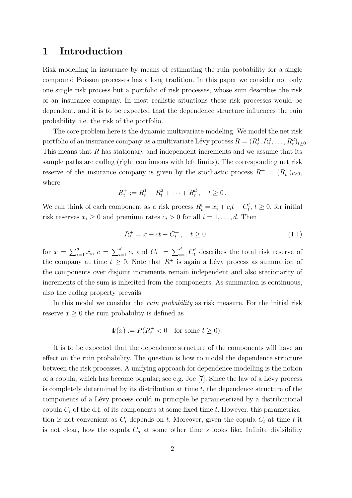### 1 Introduction

Risk modelling in insurance by means of estimating the ruin probability for a single compound Poisson processes has a long tradition. In this paper we consider not only one single risk process but a portfolio of risk processes, whose sum describes the risk of an insurance company. In most realistic situations these risk processes would be dependent, and it is to be expected that the dependence structure influences the ruin probability, i.e. the risk of the portfolio.

The core problem here is the dynamic multivariate modeling. We model the net risk portfolio of an insurance company as a multivariate Lévy process  $R = (R_t^1, R_t^2, \ldots, R_t^d)_{t \geq 0}$ . This means that  $R$  has stationary and independent increments and we assume that its sample paths are cadlag (right continuous with left limits). The corresponding net risk reserve of the insurance company is given by the stochastic process  $R^+ = (R_t^+)_{t \geq 0}$ , where

$$
R_t^+ := R_t^1 + R_t^2 + \dots + R_t^d, \quad t \ge 0.
$$

We can think of each component as a risk process  $R_t^i = x_i + c_i t - C_t^i$ ,  $t \ge 0$ , for initial risk reserves  $x_i \geq 0$  and premium rates  $c_i > 0$  for all  $i = 1, \ldots, d$ . Then

$$
R_t^+ = x + ct - C_t^+, \quad t \ge 0,
$$
\n(1.1)

for  $x = \sum_{i=1}^d x_i$ ,  $c = \sum_{i=1}^d c_i$  and  $C_t^+ = \sum_{i=1}^d C_t^i$  describes the total risk reserve of the company at time  $t > 0$ . Note that  $R^+$  is again a Lévy process as summation of the components over disjoint increments remain independent and also stationarity of increments of the sum is inherited from the components. As summation is continuous, also the cadlag property prevails.

In this model we consider the *ruin probability* as risk measure. For the initial risk reserve  $x \geq 0$  the ruin probability is defined as

$$
\Psi(x) := P(R_t^+ < 0 \quad \text{for some } t \ge 0).
$$

It is to be expected that the dependence structure of the components will have an effect on the ruin probability. The question is how to model the dependence structure between the risk processes. A unifying approach for dependence modelling is the notion of a copula, which has become popular; see e.g. Joe  $[7]$ . Since the law of a Lévy process is completely determined by its distribution at time  $t$ , the dependence structure of the components of a L´evy process could in principle be parameterized by a distributional copula  $C_t$  of the d.f. of its components at some fixed time t. However, this parametrization is not convenient as  $C_t$  depends on t. Moreover, given the copula  $C_t$  at time t it is not clear, how the copula  $C_s$  at some other time s looks like. Infinite divisibility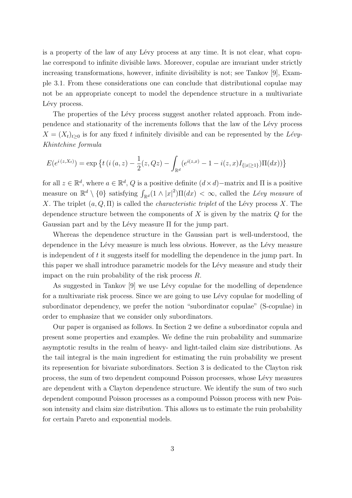is a property of the law of any Lévy process at any time. It is not clear, what copulae correspond to infinite divisible laws. Moreover, copulae are invariant under strictly increasing transformations, however, infinite divisibility is not; see Tankov [9], Example 3.1. From these considerations one can conclude that distributional copulae may not be an appropriate concept to model the dependence structure in a multivariate Lévy process.

The properties of the Lévy process suggest another related approach. From independence and stationarity of the increments follows that the law of the Lévy process  $X = (X_t)_{t\geq 0}$  is for any fixed t infinitely divisible and can be represented by the Lévy-Khintchine formula

$$
E(e^{i(z,X_t)}) = \exp \left\{ t \left( i \left( a, z \right) - \frac{1}{2} (z, Qz) - \int_{\mathbb{R}^d} (e^{i(z,x)} - 1 - i(z,x) I_{\{|x| \ge 1\}}) \Pi(dx) \right) \right\}
$$

for all  $z \in \mathbb{R}^d$ , where  $a \in \mathbb{R}^d$ , Q is a positive definite  $(d \times d)$  – matrix and  $\Pi$  is a positive measure on  $\mathbb{R}^d \setminus \{0\}$  satisfying  $\int_{\mathbb{R}^d} (1 \wedge |x|^2) \Pi(dx) < \infty$ , called the Lévy measure of X. The triplet  $(a, Q, \Pi)$  is called the *characteristic triplet* of the Lévy process X. The dependence structure between the components of  $X$  is given by the matrix  $Q$  for the Gaussian part and by the Lévy measure  $\Pi$  for the jump part.

Whereas the dependence structure in the Gaussian part is well-understood, the dependence in the Lévy measure is much less obvious. However, as the Lévy measure is independent of t it suggests itself for modelling the dependence in the jump part. In this paper we shall introduce parametric models for the Lévy measure and study their impact on the ruin probability of the risk process R.

As suggested in Tankov [9] we use Lévy copulae for the modelling of dependence for a multivariate risk process. Since we are going to use Lévy copulae for modelling of subordinator dependency, we prefer the notion "subordinator copulae" (S-copulae) in order to emphasize that we consider only subordinators.

Our paper is organised as follows. In Section 2 we define a subordinator copula and present some properties and examples. We define the ruin probability and summarize asymptotic results in the realm of heavy- and light-tailed claim size distributions. As the tail integral is the main ingredient for estimating the ruin probability we present its represention for bivariate subordinators. Section 3 is dedicated to the Clayton risk process, the sum of two dependent compound Poisson processes, whose L´evy measures are dependent with a Clayton dependence structure. We identify the sum of two such dependent compound Poisson processes as a compound Poisson process with new Poisson intensity and claim size distribution. This allows us to estimate the ruin probability for certain Pareto and exponential models.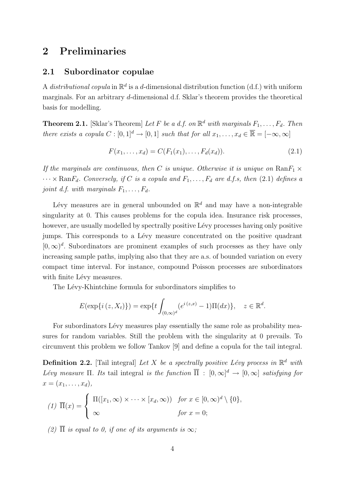### 2 Preliminaries

#### 2.1 Subordinator copulae

A distributional copula in  $\mathbb{R}^d$  is a d-dimensional distribution function (d.f.) with uniform marginals. For an arbitrary d-dimensional d.f. Sklar's theorem provides the theoretical basis for modelling.

**Theorem 2.1.** [Sklar's Theorem] Let F be a d.f. on  $\mathbb{R}^d$  with marginals  $F_1, \ldots, F_d$ . Then there exists a copula  $C : [0,1]^d \to [0,1]$  such that for all  $x_1, \ldots, x_d \in \overline{\mathbb{R}} = [-\infty, \infty]$ 

$$
F(x_1, \ldots, x_d) = C(F_1(x_1), \ldots, F_d(x_d)).
$$
\n(2.1)

If the marginals are continuous, then C is unique. Otherwise it is unique on  $\text{Ran}F_1 \times$  $\cdots \times \mathrm{Ran}F_d$ . Conversely, if C is a copula and  $F_1, \ldots, F_d$  are d.f.s, then (2.1) defines a joint d.f. with marginals  $F_1, \ldots, F_d$ .

Lévy measures are in general unbounded on  $\mathbb{R}^d$  and may have a non-integrable singularity at 0. This causes problems for the copula idea. Insurance risk processes, however, are usually modelled by spectrally positive Lévy processes having only positive jumps. This corresponds to a Lévy measure concentrated on the positive quadrant  $[0, \infty)^d$ . Subordinators are prominent examples of such processes as they have only increasing sample paths, implying also that they are a.s. of bounded variation on every compact time interval. For instance, compound Poisson processes are subordinators with finite Lévy measures.

The Lévy-Khintchine formula for subordinators simplifies to

$$
E(\exp\{i(z, X_t)\}) = \exp\{t \int_{(0,\infty)^d} (e^{i(z,x)} - 1)\Pi(dx)\}, \quad z \in \mathbb{R}^d.
$$

For subordinators Lévy measures play essentially the same role as probability measures for random variables. Still the problem with the singularity at 0 prevails. To circumvent this problem we follow Tankov [9] and define a copula for the tail integral.

**Definition 2.2.** [Tail integral] Let X be a spectrally positive Lévy process in  $\mathbb{R}^d$  with Lévy measure  $\Pi$ . Its tail integral is the function  $\overline{\Pi}$  :  $[0,\infty]^d \to [0,\infty]$  satisfying for  $x = (x_1, \ldots, x_d),$ 

$$
(1) \ \overline{\Pi}(x) = \begin{cases} \Pi([x_1, \infty) \times \cdots \times [x_d, \infty)) & \text{for } x \in [0, \infty)^d \setminus \{0\}, \\ \infty & \text{for } x = 0; \end{cases}
$$

(2)  $\overline{\Pi}$  is equal to 0, if one of its arguments is  $\infty$ ;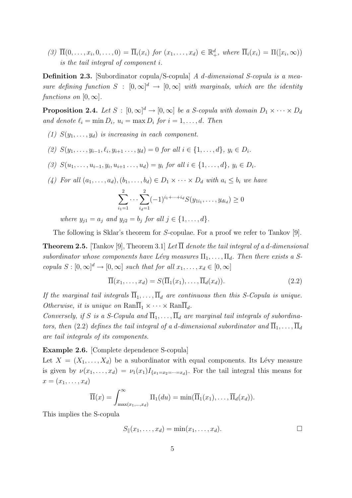(3)  $\overline{\Pi}(0,\ldots,x_i,0,\ldots,0) = \overline{\Pi}_i(x_i)$  for  $(x_1,\ldots,x_d) \in \mathbb{R}_+^d$ , where  $\overline{\Pi}_i(x_i) = \Pi([x_i,\infty))$ is the tail integral of component i.

Definition 2.3. [Subordinator copula/S-copula] A d-dimensional S-copula is a measure defining function  $S : [0, \infty]^d \to [0, \infty]$  with marginals, which are the identity functions on  $[0, \infty]$ .

**Proposition 2.4.** Let  $S : [0, \infty]^d \to [0, \infty]$  be a *S*-copula with domain  $D_1 \times \cdots \times D_d$ and denote  $\ell_i = \min D_i$ ,  $u_i = \max D_i$  for  $i = 1, \ldots, d$ . Then

- (1)  $S(y_1, \ldots, y_d)$  is increasing in each component.
- (2)  $S(y_1, \ldots, y_{i-1}, \ell_i, y_{i+1}, \ldots, y_d) = 0$  for all  $i \in \{1, \ldots, d\}, y_i \in D_i$ .
- (3)  $S(u_1, \ldots, u_{i-1}, y_i, u_{i+1}, \ldots, u_d) = y_i$  for all  $i \in \{1, \ldots, d\}, y_i \in D_i$ .
- (4) For all  $(a_1, \ldots, a_d)$ ,  $(b_1, \ldots, b_d) \in D_1 \times \cdots \times D_d$  with  $a_i \leq b_i$  we have

$$
\sum_{i_1=1}^2 \cdots \sum_{i_d=1}^2 (-1)^{i_1+\cdots+i_d} S(y_{1i_1}, \ldots, y_{di_d}) \ge 0
$$

where  $y_{j1} = a_j$  and  $y_{j2} = b_j$  for all  $j \in \{1, ..., d\}$ .

The following is Sklar's theorem for S-copulae. For a proof we refer to Tankov [9].

**Theorem 2.5.** [Tankov [9], Theorem 3.1] Let  $\overline{\Pi}$  denote the tail integral of a d-dimensional subordinator whose components have Lévy measures  $\Pi_1, \ldots, \Pi_d$ . Then there exists a Scopula  $S : [0, \infty]^d \to [0, \infty]$  such that for all  $x_1, \ldots, x_d \in [0, \infty]$ 

$$
\overline{\Pi}(x_1,\ldots,x_d) = S(\overline{\Pi}_1(x_1),\ldots,\overline{\Pi}_d(x_d)).
$$
\n(2.2)

If the marginal tail integrals  $\overline{\Pi}_1, \ldots, \overline{\Pi}_d$  are continuous then this S-Copula is unique. Otherwise, it is unique on  $\text{Ran}\overline{\Pi}_1 \times \cdots \times \text{Ran}\overline{\Pi}_d$ .

Conversely, if S is a S-Copula and  $\overline{\Pi}_1, \ldots, \overline{\Pi}_d$  are marginal tail integrals of subordinators, then (2.2) defines the tail integral of a d-dimensional subordinator and  $\overline{\Pi}_1, \ldots, \overline{\Pi}_d$ are tail integrals of its components.

Example 2.6. [Complete dependence S-copula]

Let  $X = (X_1, \ldots, X_d)$  be a subordinator with equal components. Its Lévy measure is given by  $\nu(x_1,\ldots,x_d) = \nu_1(x_1)I_{\{x_1=x_2=\cdots=x_d\}}$ . For the tail integral this means for  $x = (x_1, \ldots, x_d)$ 

$$
\overline{\Pi}(x) = \int_{\max(x_1,\ldots,x_d)}^{\infty} \Pi_1(du) = \min(\overline{\Pi}_1(x_1),\ldots,\overline{\Pi}_d(x_d)).
$$

This implies the S-copula

$$
S_{\parallel}(x_1,\ldots,x_d) = \min(x_1,\ldots,x_d). \square
$$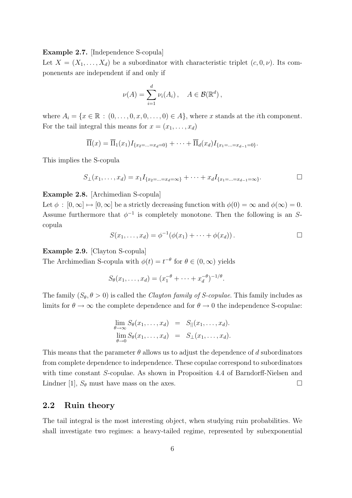Example 2.7. [Independence S-copula]

Let  $X = (X_1, \ldots, X_d)$  be a subordinator with characteristic triplet  $(c, 0, \nu)$ . Its componenents are independent if and only if

$$
\nu(A) = \sum_{i=1}^d \nu_i(A_i), \quad A \in \mathcal{B}(\mathbb{R}^d),
$$

where  $A_i = \{x \in \mathbb{R} : (0, \ldots, 0, x, 0, \ldots, 0) \in A\}$ , where x stands at the *i*th component. For the tail integral this means for  $x = (x_1, \ldots, x_d)$ 

$$
\overline{\Pi}(x) = \overline{\Pi}_1(x_1) I_{\{x_2 = \ldots = x_d = 0\}} + \cdots + \overline{\Pi}_d(x_d) I_{\{x_1 = \ldots = x_{d-1} = 0\}}.
$$

This implies the S-copula

$$
S_{\perp}(x_1,\ldots,x_d) = x_1 I_{\{x_2=\ldots=x_d=\infty\}} + \cdots + x_d I_{\{x_1=\ldots=x_{d-1}=\infty\}}.
$$

#### Example 2.8. [Archimedian S-copula]

Let  $\phi : [0, \infty] \mapsto [0, \infty]$  be a strictly decreasing function with  $\phi(0) = \infty$  and  $\phi(\infty) = 0$ . Assume furthermore that  $\phi^{-1}$  is completely monotone. Then the following is an Scopula

$$
S(x_1,\ldots,x_d)=\phi^{-1}(\phi(x_1)+\cdots+\phi(x_d)).\qquad \qquad \Box
$$

Example 2.9. [Clayton S-copula]

The Archimedian S-copula with  $\phi(t) = t^{-\theta}$  for  $\theta \in (0, \infty)$  yields

$$
S_{\theta}(x_1, \ldots, x_d) = (x_1^{-\theta} + \cdots + x_d^{-\theta})^{-1/\theta}.
$$

The family  $(S_{\theta}, \theta > 0)$  is called the *Clayton family of S-copulae*. This family includes as limits for  $\theta \to \infty$  the complete dependence and for  $\theta \to 0$  the independence S-copulae:

$$
\lim_{\theta \to \infty} S_{\theta}(x_1, \dots, x_d) = S_{\parallel}(x_1, \dots, x_d).
$$
  

$$
\lim_{\theta \to 0} S_{\theta}(x_1, \dots, x_d) = S_{\perp}(x_1, \dots, x_d).
$$

This means that the parameter  $\theta$  allows us to adjust the dependence of d subordinators from complete dependence to independence. These copulae correspond to subordinators with time constant S-copulae. As shown in Proposition 4.4 of Barndorff-Nielsen and Lindner [1],  $S_{\theta}$  must have mass on the axes.

### 2.2 Ruin theory

The tail integral is the most interesting object, when studying ruin probabilities. We shall investigate two regimes: a heavy-tailed regime, represented by subexponential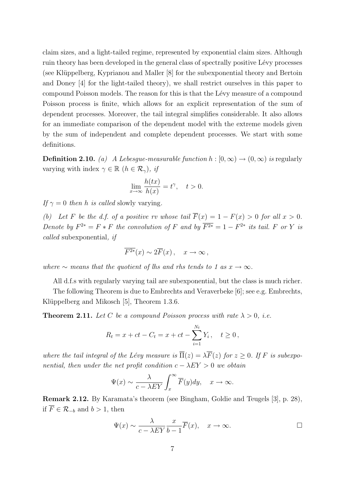claim sizes, and a light-tailed regime, represented by exponential claim sizes. Although ruin theory has been developed in the general class of spectrally positive Lévy processes (see Klüppelberg, Kyprianou and Maller [8] for the subexponential theory and Bertoin and Doney [4] for the light-tailed theory), we shall restrict ourselves in this paper to compound Poisson models. The reason for this is that the Lévy measure of a compound Poisson process is finite, which allows for an explicit representation of the sum of dependent processes. Moreover, the tail integral simplifies considerable. It also allows for an immediate comparison of the dependent model with the extreme models given by the sum of independent and complete dependent processes. We start with some definitions.

**Definition 2.10.** (a) A Lebesgue-measurable function  $h : [0, \infty) \to (0, \infty)$  is regularly varying with index  $\gamma \in \mathbb{R}$   $(h \in \mathcal{R}_{\gamma})$ , if

$$
\lim_{x \to \infty} \frac{h(tx)}{h(x)} = t^{\gamma}, \quad t > 0.
$$

If  $\gamma = 0$  then h is called slowly varying.

(b) Let F be the d.f. of a positive rv whose tail  $\overline{F}(x) = 1 - F(x) > 0$  for all  $x > 0$ . Denote by  $F^{2*} = F * F$  the convolution of F and by  $\overline{F^{2*}} = 1 - F^{2*}$  its tail. F or Y is called subexponential, if

$$
\overline{F^{2*}}(x) \sim 2\overline{F}(x) , \quad x \to \infty ,
$$

where  $\sim$  means that the quotient of lhs and rhs tends to 1 as  $x \to \infty$ .

All d.f.s with regularly varying tail are subexponential, but the class is much richer.

The following Theorem is due to Embrechts and Veraverbeke [6]; see e.g. Embrechts, Klüppelberg and Mikosch [5], Theorem 1.3.6.

**Theorem 2.11.** Let C be a compound Poisson process with rate  $\lambda > 0$ , i.e.

$$
R_t = x + ct - C_t = x + ct - \sum_{i=1}^{N_t} Y_i, \quad t \ge 0,
$$

where the tail integral of the Lévy measure is  $\overline{\Pi}(z) = \lambda \overline{F}(z)$  for  $z > 0$ . If F is subexponential, then under the net profit condition  $c - \lambda EY > 0$  we obtain

$$
\Psi(x) \sim \frac{\lambda}{c - \lambda EY} \int_x^{\infty} \overline{F}(y) dy, \quad x \to \infty.
$$

Remark 2.12. By Karamata's theorem (see Bingham, Goldie and Teugels [3], p. 28), if  $\overline{F}$  ∈  $\mathcal{R}_{-b}$  and  $b > 1$ , then

$$
\Psi(x) \sim \frac{\lambda}{c - \lambda EY} \frac{x}{b - 1} \overline{F}(x), \quad x \to \infty.
$$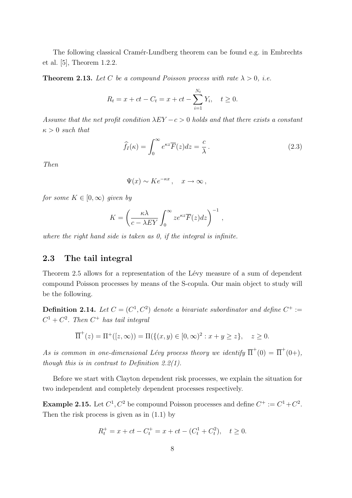The following classical Cramér-Lundberg theorem can be found e.g. in Embrechts et al. [5], Theorem 1.2.2.

**Theorem 2.13.** Let C be a compound Poisson process with rate  $\lambda > 0$ , i.e.

$$
R_t = x + ct - C_t = x + ct - \sum_{i=1}^{N_t} Y_i, \quad t \ge 0.
$$

Assume that the net profit condition  $\lambda EY - c > 0$  holds and that there exists a constant  $\kappa > 0$  such that

$$
\widehat{f}_I(\kappa) = \int_0^\infty e^{\kappa z} \overline{F}(z) dz = \frac{c}{\lambda} \,. \tag{2.3}
$$

Then

$$
\Psi(x) \sim Ke^{-\kappa x}, \quad x \to \infty,
$$

for some  $K \in [0,\infty)$  given by

$$
K = \left(\frac{\kappa\lambda}{c - \lambda EY} \int_0^\infty z e^{\kappa z} \overline{F}(z) dz\right)^{-1},
$$

where the right hand side is taken as 0, if the integral is infinite.

### 2.3 The tail integral

Theorem 2.5 allows for a representation of the Lévy measure of a sum of dependent compound Poisson processes by means of the S-copula. Our main object to study will be the following.

**Definition 2.14.** Let  $C = (C^1, C^2)$  denote a bivariate subordinator and define  $C^+ :=$  $C^1 + C^2$ . Then  $C^+$  has tail integral

$$
\overline{\Pi}^+(z) = \Pi^+([z,\infty)) = \Pi(\{(x,y) \in [0,\infty)^2 : x+y \ge z\}, \quad z \ge 0.
$$

As is common in one-dimensional Lévy process theory we identify  $\overline{\Pi}^+(0) = \overline{\Pi}^+(0+)$ , though this is in contrast to Definition 2.2(1).

Before we start with Clayton dependent risk processes, we explain the situation for two independent and completely dependent processes respectively.

**Example 2.15.** Let  $C^1$ ,  $C^2$  be compound Poisson processes and define  $C^+ := C^1 + C^2$ . Then the risk process is given as in (1.1) by

$$
R_t^+ = x + ct - C_t^+ = x + ct - (C_t^1 + C_t^2), \quad t \ge 0.
$$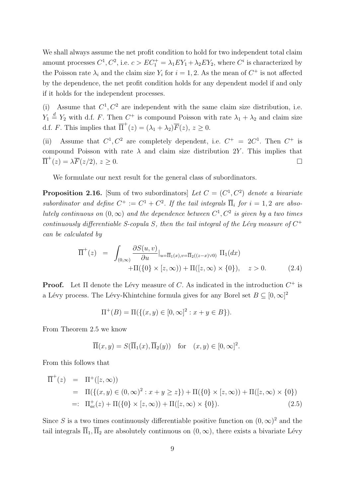We shall always assume the net profit condition to hold for two independent total claim amount processes  $C^1$ ,  $C^2$ , i.e.  $c > EC_1^+ = \lambda_1 E Y_1 + \lambda_2 E Y_2$ , where  $C^i$  is characterized by the Poisson rate  $\lambda_i$  and the claim size  $Y_i$  for  $i = 1, 2$ . As the mean of  $C^+$  is not affected by the dependence, the net profit condition holds for any dependent model if and only if it holds for the independent processes.

(i) Assume that  $C^1$ ,  $C^2$  are independent with the same claim size distribution, i.e.  $Y_1 \stackrel{d}{=} Y_2$  with d.f. F. Then  $C^+$  is compound Poisson with rate  $\lambda_1 + \lambda_2$  and claim size d.f. F. This implies that  $\overline{\Pi}^+(z) = (\lambda_1 + \lambda_2)\overline{F}(z), z \ge 0.$ 

(ii) Assume that  $C^1, C^2$  are completely dependent, i.e.  $C^+ = 2C^1$ . Then  $C^+$  is compound Poisson with rate  $\lambda$  and claim size distribution 2Y. This implies that  $\overline{\Pi}^+(z) = \lambda \overline{F}(z/2), z \ge 0.$ 

We formulate our next result for the general class of subordinators.

**Proposition 2.16.** [Sum of two subordinators] Let  $C = (C^1, C^2)$  denote a bivariate subordinator and define  $C^+ := C^1 + C^2$ . If the tail integrals  $\overline{\Pi}_i$  for  $i = 1, 2$  are absolutely continuous on  $(0, \infty)$  and the dependence between  $C^1, C^2$  is given by a two times continuously differentiable S-copula S, then the tail integral of the Lévy measure of  $C^+$ can be calculated by

$$
\overline{\Pi}^{+}(z) = \int_{(0,\infty)} \frac{\partial S(u,v)}{\partial u} \Big|_{u=\overline{\Pi}_{1}(x),v=\overline{\Pi}_{2}((z-x)\vee 0)} \Pi_{1}(dx) \n+ \Pi(\{0\} \times [z,\infty)) + \Pi([z,\infty) \times \{0\}), \quad z > 0.
$$
\n(2.4)

**Proof.** Let  $\Pi$  denote the Lévy measure of C. As indicated in the introduction  $C^+$  is a Lévy process. The Lévy-Khintchine formula gives for any Borel set  $B \subseteq [0, \infty]^2$ 

$$
\Pi^{+}(B) = \Pi(\{(x, y) \in [0, \infty]^2 : x + y \in B\}).
$$

From Theorem 2.5 we know

$$
\overline{\Pi}(x,y) = S(\overline{\Pi}_1(x), \overline{\Pi}_2(y)) \text{ for } (x,y) \in [0,\infty]^2.
$$

From this follows that

$$
\overline{\Pi}^{+}(z) = \Pi^{+}([z,\infty))
$$
  
=  $\Pi(\{(x,y) \in (0,\infty)^{2} : x+y \geq z\}) + \Pi(\{0\} \times [z,\infty)) + \Pi([z,\infty) \times \{0\})$   
=:  $\Pi_{ac}^{+}(z) + \Pi(\{0\} \times [z,\infty)) + \Pi([z,\infty) \times \{0\}).$  (2.5)

Since S is a two times continuously differentiable positive function on  $(0, \infty)^2$  and the tail integrals  $\overline{\Pi}_1$ ,  $\overline{\Pi}_2$  are absolutely continuous on  $(0, \infty)$ , there exists a bivariate Lévy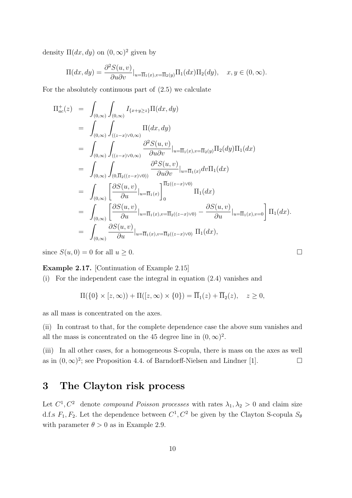density  $\Pi(dx, dy)$  on  $(0, \infty)^2$  given by

$$
\Pi(dx, dy) = \frac{\partial^2 S(u, v)}{\partial u \partial v}|_{u = \overline{\Pi}_1(x), v = \overline{\Pi}_2(y)} \Pi_1(dx) \Pi_2(dy), \quad x, y \in (0, \infty).
$$

For the absolutely continuous part of (2.5) we calculate

$$
\Pi_{ac}^{+}(z) = \int_{(0,\infty)} \int_{(0,\infty)} I_{\{x+y\geq z\}} \Pi(dx,dy)
$$
\n
$$
= \int_{(0,\infty)} \int_{((z-x)\vee 0,\infty)} \Pi(dx,dy)
$$
\n
$$
= \int_{(0,\infty)} \int_{((z-x)\vee 0,\infty)} \frac{\partial^2 S(u,v)}{\partial u \partial v} |_{u=\overline{\Pi}_{1}(x),v=\overline{\Pi}_{2}(y)} \Pi_{2}(dy) \Pi_{1}(dx)
$$
\n
$$
= \int_{(0,\infty)} \int_{(0,\overline{\Pi}_{2}((z-x)\vee 0))} \frac{\partial^2 S(u,v)}{\partial u \partial v} |_{u=\overline{\Pi}_{1}(x)} dv \Pi_{1}(dx)
$$
\n
$$
= \int_{(0,\infty)} \left[ \frac{\partial S(u,v)}{\partial u} |_{u=\overline{\Pi}_{1}(x)} \right]_{0}^{\overline{\Pi}_{2}((z-x)\vee 0)} \Pi_{1}(dx)
$$
\n
$$
= \int_{(0,\infty)} \left[ \frac{\partial S(u,v)}{\partial u} |_{u=\overline{\Pi}_{1}(x),v=\overline{\Pi}_{2}((z-x)\vee 0)} - \frac{\partial S(u,v)}{\partial u} |_{u=\overline{\Pi}_{1}(x),v=0} \right] \Pi_{1}(dx).
$$
\n
$$
= \int_{(0,\infty)} \frac{\partial S(u,v)}{\partial u} |_{u=\overline{\Pi}_{1}(x),v=\overline{\Pi}_{2}((z-x)\vee 0)} \Pi_{1}(dx),
$$

since  $S(u, 0) = 0$  for all  $u \ge 0$ .

Example 2.17. [Continuation of Example 2.15]

(i) For the independent case the integral in equation (2.4) vanishes and

$$
\Pi(\{0\} \times [z,\infty)) + \Pi([z,\infty) \times \{0\}) = \overline{\Pi}_1(z) + \overline{\Pi}_2(z), \quad z \ge 0,
$$

as all mass is concentrated on the axes.

(ii) In contrast to that, for the complete dependence case the above sum vanishes and all the mass is concentrated on the 45 degree line in  $(0, \infty)^2$ .

(iii) In all other cases, for a homogeneous S-copula, there is mass on the axes as well as in  $(0, \infty)^2$ ; see Proposition 4.4. of Barndorff-Nielsen and Lindner [1].

### 3 The Clayton risk process

Let  $C^1, C^2$  denote *compound Poisson processes* with rates  $\lambda_1, \lambda_2 > 0$  and claim size d.f.s  $F_1, F_2$ . Let the dependence between  $C^1, C^2$  be given by the Clayton S-copula  $S_6$ with parameter  $\theta > 0$  as in Example 2.9.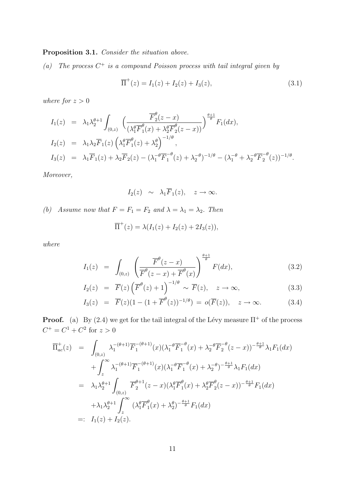#### Proposition 3.1. Consider the situation above.

(a) The process  $C^+$  is a compound Poisson process with tail integral given by

$$
\overline{\Pi}^{+}(z) = I_1(z) + I_2(z) + I_3(z), \tag{3.1}
$$

where for  $z > 0$ 

$$
I_1(z) = \lambda_1 \lambda_2^{\theta+1} \int_{(0,z)} \left( \frac{\overline{F}_2^{\theta}(z-x)}{(\lambda_1^{\theta} \overline{F}_1^{\theta}(x) + \lambda_2^{\theta} \overline{F}_2^{\theta}(z-x))} \right)^{\frac{\theta+1}{\theta}} F_1(dx),
$$
  
\n
$$
I_2(z) = \lambda_1 \lambda_2 \overline{F}_1(z) \left( \lambda_1^{\theta} \overline{F}_1^{\theta}(z) + \lambda_2^{\theta} \right)^{-1/\theta},
$$
  
\n
$$
I_3(z) = \lambda_1 \overline{F}_1(z) + \lambda_2 \overline{F}_2(z) - (\lambda_1^{-\theta} \overline{F}_1^{-\theta}(z) + \lambda_2^{-\theta})^{-1/\theta} - (\lambda_1^{-\theta} + \lambda_2^{-\theta} \overline{F}_2^{-\theta}(z))^{-1/\theta}.
$$

Moreover,

$$
I_2(z) \sim \lambda_1 \overline{F}_1(z), \quad z \to \infty.
$$

(b) Assume now that  $F = F_1 = F_2$  and  $\lambda = \lambda_1 = \lambda_2$ . Then

$$
\overline{\Pi}^+(z) = \lambda (I_1(z) + I_2(z) + 2I_3(z)),
$$

where

$$
I_1(z) = \int_{(0,z)} \left( \frac{\overline{F}^{\theta}(z-x)}{\overline{F}^{\theta}(z-x) + \overline{F}^{\theta}(x)} \right)^{\frac{\theta+1}{\theta}} F(dx), \tag{3.2}
$$

$$
I_2(z) = \overline{F}(z) \left( \overline{F}^{\theta}(z) + 1 \right)^{-1/\theta} \sim \overline{F}(z), \quad z \to \infty,
$$
\n(3.3)

$$
I_3(z) = \overline{F}(z)(1 - (1 + \overline{F}^{\theta}(z))^{-1/\theta}) = o(\overline{F}(z)), \quad z \to \infty.
$$
 (3.4)

**Proof.** (a) By (2.4) we get for the tail integral of the Lévy measure  $\Pi^+$  of the process  $C^+ = C^1 + C^2$  for  $z > 0$ 

$$
\overline{\Pi}_{ac}^{+}(z) = \int_{(0,z)} \lambda_{1}^{-(\theta+1)} \overline{F}_{1}^{-(\theta+1)}(x) (\lambda_{1}^{-\theta} \overline{F}_{1}^{-\theta}(x) + \lambda_{2}^{-\theta} \overline{F}_{2}^{-\theta}(z-x))^{-\frac{\theta+1}{\theta}} \lambda_{1} F_{1}(dx) \n+ \int_{z}^{\infty} \lambda_{1}^{-(\theta+1)} \overline{F}_{1}^{-(\theta+1)}(x) (\lambda_{1}^{-\theta} \overline{F}_{1}^{-\theta}(x) + \lambda_{2}^{-\theta})^{-\frac{\theta+1}{\theta}} \lambda_{1} F_{1}(dx) \n= \lambda_{1} \lambda_{2}^{\theta+1} \int_{(0,z)} \overline{F}_{2}^{\theta+1}(z-x) (\lambda_{1}^{\theta} \overline{F}_{1}^{\theta}(x) + \lambda_{2}^{\theta} \overline{F}_{2}^{\theta}(z-x))^{-\frac{\theta+1}{\theta}} F_{1}(dx) \n+ \lambda_{1} \lambda_{2}^{\theta+1} \int_{z}^{\infty} (\lambda_{1}^{\theta} \overline{F}_{1}^{\theta}(x) + \lambda_{2}^{\theta})^{-\frac{\theta+1}{\theta}} F_{1}(dx) \n=: I_{1}(z) + I_{2}(z).
$$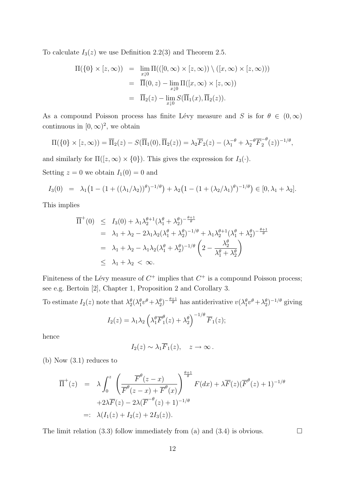To calculate  $I_3(z)$  we use Definition 2.2(3) and Theorem 2.5.

$$
\Pi(\{0\} \times [z,\infty)) = \lim_{x \downarrow 0} \Pi(([0,\infty) \times [z,\infty)) \setminus ([x,\infty) \times [z,\infty)))
$$
  
= 
$$
\overline{\Pi}(0,z) - \lim_{x \downarrow 0} \Pi([x,\infty) \times [z,\infty))
$$
  
= 
$$
\overline{\Pi}_2(z) - \lim_{x \downarrow 0} S(\overline{\Pi}_1(x), \overline{\Pi}_2(z)).
$$

As a compound Poisson process has finite Lévy measure and S is for  $\theta \in (0,\infty)$ continuous in  $[0, \infty)^2$ , we obtain

$$
\Pi(\{0\} \times [z,\infty)) = \overline{\Pi}_2(z) - S(\overline{\Pi}_1(0), \overline{\Pi}_2(z)) = \lambda_2 \overline{F}_2(z) - (\lambda_1^{-\theta} + \lambda_2^{-\theta} \overline{F}_2^{-\theta}(z))^{-1/\theta},
$$

and similarly for  $\Pi([z,\infty) \times \{0\})$ . This gives the expression for  $I_3(\cdot)$ .

Setting  $z = 0$  we obtain  $I_1(0) = 0$  and

$$
I_3(0) = \lambda_1 \big(1 - (1 + ((\lambda_1/\lambda_2))^{\theta})^{-1/\theta}\big) + \lambda_2 \big(1 - (1 + (\lambda_2/\lambda_1)^{\theta})^{-1/\theta}\big) \in [0, \lambda_1 + \lambda_2].
$$

This implies

$$
\overline{\Pi}^{+}(0) \leq I_3(0) + \lambda_1 \lambda_2^{\theta+1} (\lambda_1^{\theta} + \lambda_2^{\theta})^{-\frac{\theta+1}{\theta}} \n= \lambda_1 + \lambda_2 - 2\lambda_1 \lambda_2 (\lambda_1^{\theta} + \lambda_2^{\theta})^{-1/\theta} + \lambda_1 \lambda_2^{\theta+1} (\lambda_1^{\theta} + \lambda_2^{\theta})^{-\frac{\theta+1}{\theta}} \n= \lambda_1 + \lambda_2 - \lambda_1 \lambda_2 (\lambda_1^{\theta} + \lambda_2^{\theta})^{-1/\theta} \left(2 - \frac{\lambda_2^{\theta}}{\lambda_1^{\theta} + \lambda_2^{\theta}}\right) \n\leq \lambda_1 + \lambda_2 < \infty.
$$

Finiteness of the Lévy measure of  $C^+$  implies that  $C^+$  is a compound Poisson process; see e.g. Bertoin [2], Chapter 1, Proposition 2 and Corollary 3.

To estimate  $I_2(z)$  note that  $\lambda_2^{\theta}(\lambda_1^{\theta}v^{\theta}+\lambda_2^{\theta})^{-\frac{\theta+1}{\theta}}$  has antiderivative  $v(\lambda_1^{\theta}v^{\theta}+\lambda_2^{\theta})^{-1/\theta}$  giving

$$
I_2(z) = \lambda_1 \lambda_2 \left( \lambda_1^{\theta} \overline{F}_1^{\theta}(z) + \lambda_2^{\theta} \right)^{-1/\theta} \overline{F}_1(z);
$$

hence

$$
I_2(z) \sim \lambda_1 \overline{F}_1(z), \quad z \to \infty.
$$

(b) Now (3.1) reduces to

$$
\overline{\Pi}^{+}(z) = \lambda \int_{0}^{z} \left( \frac{\overline{F}^{\theta}(z-x)}{\overline{F}^{\theta}(z-x) + \overline{F}^{\theta}(x)} \right)^{\frac{\theta+1}{\theta}} F(dx) + \lambda \overline{F}(z) (\overline{F}^{\theta}(z)+1)^{-1/\theta}
$$
  
 
$$
+ 2\lambda \overline{F}(z) - 2\lambda (\overline{F}^{-\theta}(z)+1)^{-1/\theta}
$$
  
 
$$
=:\lambda (I_{1}(z) + I_{2}(z) + 2I_{3}(z)).
$$

The limit relation (3.3) follow immediately from (a) and (3.4) is obvious.  $\Box$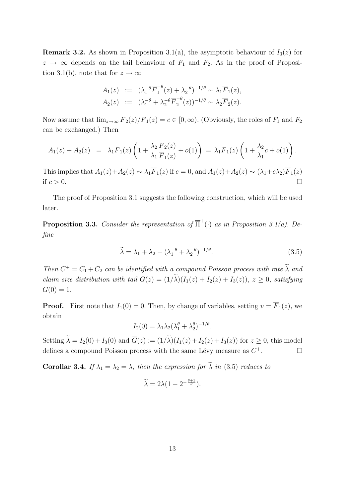**Remark 3.2.** As shown in Proposition 3.1(a), the asymptotic behaviour of  $I_3(z)$  for  $z \rightarrow \infty$  depends on the tail behaviour of  $F_1$  and  $F_2$ . As in the proof of Proposition 3.1(b), note that for  $z \to \infty$ 

$$
A_1(z) := (\lambda_1^{-\theta} \overline{F}_1^{-\theta}(z) + \lambda_2^{-\theta})^{-1/\theta} \sim \lambda_1 \overline{F}_1(z),
$$
  
\n
$$
A_2(z) := (\lambda_1^{-\theta} + \lambda_2^{-\theta} \overline{F}_2^{-\theta}(z))^{-1/\theta} \sim \lambda_2 \overline{F}_2(z).
$$

Now assume that  $\lim_{z\to\infty} \overline{F}_2(z)/\overline{F}_1(z) = c \in [0,\infty)$ . (Obviously, the roles of  $F_1$  and  $F_2$ ) can be exchanged.) Then

$$
A_1(z) + A_2(z) = \lambda_1 \overline{F}_1(z) \left( 1 + \frac{\lambda_2}{\lambda_1} \frac{\overline{F}_2(z)}{\overline{F}_1(z)} + o(1) \right) = \lambda_1 \overline{F}_1(z) \left( 1 + \frac{\lambda_2}{\lambda_1} c + o(1) \right).
$$

This implies that  $A_1(z)+A_2(z) \sim \lambda_1 \overline{F}_1(z)$  if  $c=0$ , and  $A_1(z)+A_2(z) \sim (\lambda_1+c\lambda_2)\overline{F}_1(z)$ if  $c > 0$ .

The proof of Proposition 3.1 suggests the following construction, which will be used later.

**Proposition 3.3.** Consider the representation of  $\overline{\Pi}^+(\cdot)$  as in Proposition 3.1(a). Define

$$
\widetilde{\lambda} = \lambda_1 + \lambda_2 - (\lambda_1^{-\theta} + \lambda_2^{-\theta})^{-1/\theta}.
$$
\n(3.5)

Then  $C^+ = C_1 + C_2$  can be identified with a compound Poisson process with rate  $\lambda$  and claim size distribution with tail  $\overline{G}(z) = (1/\tilde{\lambda})(I_1(z) + I_2(z) + I_3(z)), z \geq 0$ , satisfying  $\overline{G}(0) = 1.$ 

**Proof.** First note that  $I_1(0) = 0$ . Then, by change of variables, setting  $v = \overline{F}_1(z)$ , we obtain

$$
I_2(0) = \lambda_1 \lambda_2 (\lambda_1^{\theta} + \lambda_2^{\theta})^{-1/\theta}.
$$

Setting  $\widetilde{\lambda} = I_2(0) + I_3(0)$  and  $\overline{G}(z) := (1/\widetilde{\lambda})(I_1(z) + I_2(z) + I_3(z))$  for  $z \ge 0$ , this model defines a compound Poisson process with the same Lévy measure as  $C^+$ .

Corollar 3.4. If  $\lambda_1 = \lambda_2 = \lambda$ , then the expression for  $\tilde{\lambda}$  in (3.5) reduces to

$$
\widetilde{\lambda} = 2\lambda \left(1 - 2^{-\frac{\theta + 1}{\theta}}\right).
$$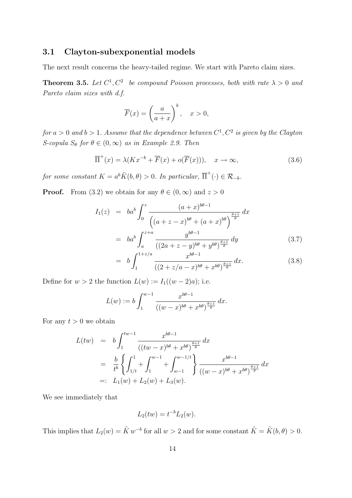#### 3.1 Clayton-subexponential models

The next result concerns the heavy-tailed regime. We start with Pareto claim sizes.

**Theorem 3.5.** Let  $C^1$ ,  $C^2$  be compound Poisson processes, both with rate  $\lambda > 0$  and Pareto claim sizes with d.f.

$$
\overline{F}(x) = \left(\frac{a}{a+x}\right)^b, \quad x > 0,
$$

for  $a > 0$  and  $b > 1$ . Assume that the dependence between  $C^1, C^2$  is given by the Clayton S-copula  $S_{\theta}$  for  $\theta \in (0,\infty)$  as in Example 2.9. Then

$$
\overline{\Pi}^+(x) = \lambda(Kx^{-b} + \overline{F}(x) + o(\overline{F}(x))), \quad x \to \infty,
$$
\n(3.6)

for some constant  $K = a^b \tilde{K}(b, \theta) > 0$ . In particular,  $\overline{\Pi}^+(\cdot) \in \mathcal{R}_{-b}$ .

**Proof.** From (3.2) we obtain for any  $\theta \in (0, \infty)$  and  $z > 0$ 

$$
I_1(z) = ba^b \int_0^z \frac{(a+x)^{b\theta-1}}{\left( (a+z-x)^{b\theta} + (a+x)^{b\theta} \right)^{\frac{\theta+1}{\theta}}} dx
$$
  
= 
$$
ba^b \int_a^{z+a} \frac{y^{b\theta-1}}{\left( (2a+z-y)^{b\theta} + y^{b\theta} \right)^{\frac{\theta+1}{\theta}}} dy
$$
(3.7)

$$
= b \int_{1}^{1+z/a} \frac{x^{b\theta - 1}}{\left( (2 + z/a - x)^{b\theta} + x^{b\theta} \right)^{\frac{\theta + 1}{\theta}}} dx.
$$
 (3.8)

Define for  $w > 2$  the function  $L(w) := I_1((w - 2)a)$ ; i.e.

$$
L(w) := b \int_1^{w-1} \frac{x^{b\theta - 1}}{((w - x)^{b\theta} + x^{b\theta})^{\frac{\theta + 1}{\theta}}} dx.
$$

For any  $t > 0$  we obtain

$$
L(tw) = b \int_{1}^{tw-1} \frac{x^{b\theta-1}}{((tw-x)^{b\theta} + x^{b\theta})^{\frac{\theta+1}{\theta}}} dx
$$
  
=  $\frac{b}{t^{b}} \left\{ \int_{1/t}^{1} + \int_{1}^{w-1} + \int_{w-1}^{w-1/t} \right\} \frac{x^{b\theta-1}}{((w-x)^{b\theta} + x^{b\theta})^{\frac{\theta+1}{\theta}}} dx$   
=:  $L_{1}(w) + L_{2}(w) + L_{3}(w)$ .

We see immediately that

$$
L_2(tw) = t^{-b}L_2(w).
$$

This implies that  $L_2(w) = \tilde{K} w^{-b}$  for all  $w > 2$  and for some constant  $\tilde{K} = \tilde{K}(b, \theta) > 0$ .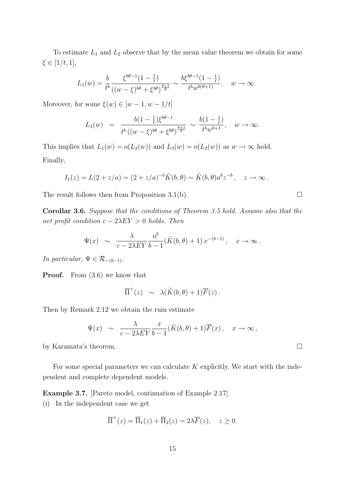To estimate  $L_1$  and  $L_2$  observe that by the mean value theorem we obtain for some  $\xi \in [1/t, 1],$ 

$$
L_1(w) = \frac{b}{t^b} \frac{\xi^{b\theta - 1} (1 - \frac{1}{t})}{((w - \xi)^{b\theta} + \xi^{b\theta})^{\frac{\theta + 1}{\theta}}} \sim \frac{b\xi^{b\theta - 1} (1 - \frac{1}{t})}{t^b w^{b(\theta + 1)}}, \quad w \to \infty.
$$

Moreover, for some  $\xi(w) \in [w-1, w-1/t]$ 

$$
L_3(w) = \frac{b(1 - \frac{1}{t})\xi^{b\theta - 1}}{t^b ((w - \xi)^{b\theta} + \xi^{b\theta})^{\frac{\theta + 1}{\theta}}} \sim \frac{b(1 - \frac{1}{t})}{t^b w^{b+1}}, \quad w \to \infty.
$$

This implies that  $L_1(w) = o(L_2(w))$  and  $L_3(w) = o(L_2(w))$  as  $w \to \infty$  hold. Finally,

$$
I_1(z) = L(2 + z/a) = (2 + z/a)^{-b} \tilde{K}(b,\theta) \sim \tilde{K}(b,\theta) a^b z^{-b}, \quad z \to \infty.
$$

The result follows then from Proposition 3.1(b).  $\Box$ 

Corollar 3.6. Suppose that the conditions of Theorem 3.5 hold. Assume also that the net profit condition  $c - 2\lambda EY > 0$  holds. Then

$$
\Psi(x) \sim \frac{\lambda}{c - 2\lambda EY} \frac{a^b}{b - 1} (\tilde{K}(b, \theta) + 1) x^{-(b - 1)}, \quad x \to \infty.
$$

In particular,  $\Psi \in \mathcal{R}_{-(b-1)}$ .

**Proof.** From  $(3.6)$  we know that

$$
\overline{\Pi}^+(z) \sim \lambda(\tilde{K}(b,\theta)+1)\overline{F}(z).
$$

Then by Remark 2.12 we obtain the ruin estimate

$$
\Psi(x) \sim \frac{\lambda}{c - 2\lambda EY} \frac{x}{b - 1} (\tilde{K}(b, \theta) + 1) \overline{F}(x), \quad x \to \infty,
$$

by Karamata's theorem.  $\Box$ 

For some special parameters we can calculate  $K$  explicitly. We start with the independent and complete dependent models.

Example 3.7. [Pareto model, continuation of Example 2.17]

(i) In the independent case we get

$$
\overline{\Pi}^+(z) = \overline{\Pi}_1(z) + \overline{\Pi}_2(z) = 2\lambda \overline{F}(z), \quad z \ge 0.
$$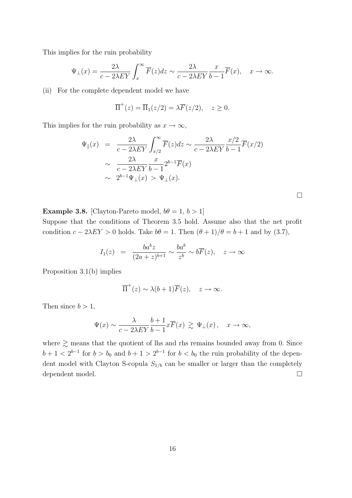This implies for the ruin probability

$$
\Psi_{\perp}(x) = \frac{2\lambda}{c - 2\lambda EY} \int_{x}^{\infty} \overline{F}(z) dz \sim \frac{2\lambda}{c - 2\lambda EY} \frac{x}{b - 1} \overline{F}(x), \quad x \to \infty.
$$

(ii) For the complete dependent model we have

$$
\overline{\Pi}^+(z) = \overline{\Pi}_1(z/2) = \lambda \overline{F}(z/2), \quad z \ge 0.
$$

This implies for the ruin probability as  $x \to \infty$ ,

$$
\Psi_{\parallel}(x) = \frac{2\lambda}{c - 2\lambda EY} \int_{x/2}^{\infty} \overline{F}(z) dz \sim \frac{2\lambda}{c - 2\lambda EY} \frac{x/2}{b - 1} \overline{F}(x/2)
$$
  

$$
\sim \frac{2\lambda}{c - 2\lambda EY} \frac{x}{b - 1} 2^{b - 1} \overline{F}(x)
$$
  

$$
\sim 2^{b - 1} \Psi_{\perp}(x) > \Psi_{\perp}(x).
$$

 $\Box$ 

**Example 3.8.** [Clayton-Pareto model,  $b\theta = 1, b > 1$ ]

Suppose that the conditions of Theorem 3.5 hold. Assume also that the net profit condition  $c - 2\lambda EY > 0$  holds. Take  $b\theta = 1$ . Then  $(\theta + 1)/\theta = b + 1$  and by (3.7),

$$
I_1(z) = \frac{ba^bz}{(2a+z)^{b+1}} \sim \frac{ba^b}{z^b} \sim b\overline{F}(z), \quad z \to \infty
$$

Proposition 3.1(b) implies

$$
\overline{\Pi}^+(z) \sim \lambda(b+1)\overline{F}(z), \quad z \to \infty.
$$

Then since  $b > 1$ ,

$$
\Psi(x)\sim \frac{\lambda}{c-2\lambda EY}\frac{b+1}{b-1}x\overline F(x)\ \gtrsim\ \Psi_\perp(x)\,,\quad x\to\infty,
$$

where  $\gtrsim$  means that the quotient of lhs and rhs remains bounded away from 0. Since  $b+1 < 2^{b-1}$  for  $b > b_0$  and  $b+1 > 2^{b-1}$  for  $b < b_0$  the ruin probability of the dependent model with Clayton S-copula  $S_{1/b}$  can be smaller or larger than the completely dependent model.  $\Box$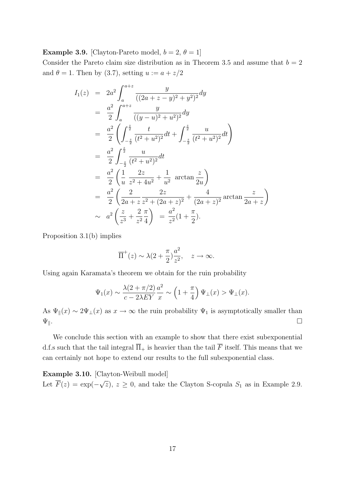**Example 3.9.** [Clayton-Pareto model,  $b = 2, \theta = 1$ ]

Consider the Pareto claim size distribution as in Theorem 3.5 and assume that  $b = 2$ and  $\theta = 1$ . Then by (3.7), setting  $u := a + z/2$ 

$$
I_1(z) = 2a^2 \int_a^{a+z} \frac{y}{((2a+z-y)^2 + y^2)^2} dy
$$
  
\n
$$
= \frac{a^2}{2} \int_a^{a+z} \frac{y}{((y-u)^2 + u^2)^2} dy
$$
  
\n
$$
= \frac{a^2}{2} \left( \int_{-\frac{z}{2}}^{\frac{z}{2}} \frac{t}{(t^2 + u^2)^2} dt + \int_{-\frac{z}{2}}^{\frac{z}{2}} \frac{u}{(t^2 + u^2)^2} dt \right)
$$
  
\n
$$
= \frac{a^2}{2} \int_{-\frac{z}{2}}^{\frac{z}{2}} \frac{u}{(t^2 + u^2)^2} dt
$$
  
\n
$$
= \frac{a^2}{2} \left( \frac{1}{u} \frac{2z}{z^2 + 4u^2} + \frac{1}{u^2} \arctan \frac{z}{2u} \right)
$$
  
\n
$$
= \frac{a^2}{2} \left( \frac{2}{2a+z} \frac{2z}{z^2 + (2a+z)^2} + \frac{4}{(2a+z)^2} \arctan \frac{z}{2a+z} \right)
$$
  
\n
$$
\sim a^2 \left( \frac{z}{z^3} + \frac{2}{z^2} \frac{\pi}{4} \right) = \frac{a^2}{z^2} (1 + \frac{\pi}{2}).
$$

Proposition 3.1(b) implies

$$
\overline{\Pi}^+(z) \sim \lambda(2 + \frac{\pi}{2})\frac{a^2}{z^2}, \quad z \to \infty.
$$

Using again Karamata's theorem we obtain for the ruin probability

$$
\Psi_1(x) \sim \frac{\lambda(2+\pi/2)}{c-2\lambda EY} \frac{a^2}{x} \sim \left(1+\frac{\pi}{4}\right) \Psi_{\perp}(x) > \Psi_{\perp}(x).
$$

As  $\Psi_{\parallel}(x) \sim 2\Psi_{\perp}(x)$  as  $x \to \infty$  the ruin probability  $\Psi_1$  is asymptotically smaller than  $\Psi_{\parallel}$ .

We conclude this section with an example to show that there exist subexponential d.f.s such that the tail integral  $\overline{\Pi}_{+}$  is heavier than the tail  $\overline{F}$  itself. This means that we can certainly not hope to extend our results to the full subexponential class.

Example 3.10. [Clayton-Weibull model] Let  $\overline{F}(z) = \exp(-\sqrt{z}), z \ge 0$ , and take the Clayton S-copula  $S_1$  as in Example 2.9.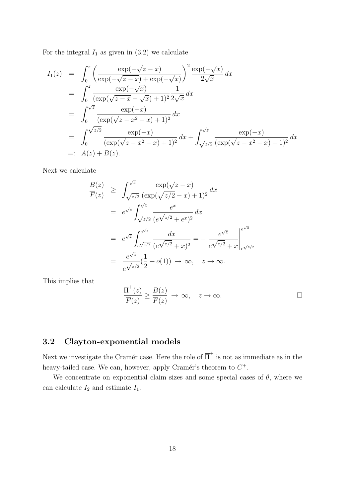For the integral  $I_1$  as given in  $(3.2)$  we calculate

$$
I_1(z) = \int_0^z \left( \frac{\exp(-\sqrt{z-x})}{\exp(-\sqrt{z-x}) + \exp(-\sqrt{x})} \right)^2 \frac{\exp(-\sqrt{x})}{2\sqrt{x}} dx
$$
  
\n
$$
= \int_0^z \frac{\exp(-\sqrt{x})}{(\exp(\sqrt{z-x}-\sqrt{x})+1)^2} \frac{1}{2\sqrt{x}} dx
$$
  
\n
$$
= \int_0^{\sqrt{z}} \frac{\exp(-x)}{(\exp(\sqrt{z-x^2}-x)+1)^2} dx
$$
  
\n
$$
= \int_0^{\sqrt{z/2}} \frac{\exp(-x)}{(\exp(\sqrt{z-x^2}-x)+1)^2} dx + \int_{\sqrt{z/2}}^{\sqrt{z}} \frac{\exp(-x)}{(\exp(\sqrt{z-x^2}-x)+1)^2} dx
$$
  
\n
$$
=: A(z) + B(z).
$$

Next we calculate

$$
\frac{B(z)}{\overline{F}(z)} \geq \int_{\sqrt{z/2}}^{\sqrt{z}} \frac{\exp(\sqrt{z} - x)}{(\exp(\sqrt{z}/2 - x) + 1)^2} dx
$$

$$
= e^{\sqrt{z}} \int_{\sqrt{z/2}}^{\sqrt{z}} \frac{e^x}{(e^{\sqrt{z}/2} + e^x)^2} dx
$$

$$
= e^{\sqrt{z}} \int_{e^{\sqrt{z}/2}}^{e^{\sqrt{z}}} \frac{dx}{(e^{\sqrt{z}/2} + x)^2} = -\frac{e^{\sqrt{z}}}{e^{\sqrt{z}/2} + x} \Big|_{e^{\sqrt{z}/2}}^{e^{\sqrt{z}}}
$$

$$
= \frac{e^{\sqrt{z}}}{e^{\sqrt{z}/2}} \left(\frac{1}{2} + o(1)\right) \to \infty, \quad z \to \infty.
$$

This implies that

$$
\frac{\overline{\Pi}^+(z)}{\overline{F}(z)} \ge \frac{B(z)}{\overline{F}(z)} \to \infty, \quad z \to \infty.
$$

# 3.2 Clayton-exponential models

Next we investigate the Cramér case. Here the role of  $\overline{\Pi}^+$  is not as immediate as in the heavy-tailed case. We can, however, apply Cramér's theorem to  $C^+$ .

We concentrate on exponential claim sizes and some special cases of  $\theta$ , where we can calculate  $I_2$  and estimate  $I_1$ .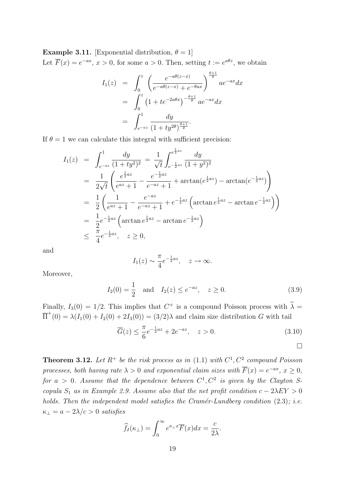**Example 3.11.** [Exponential distribution,  $\theta = 1$ ] Let  $\overline{F}(x) = e^{-ax}$ ,  $x > 0$ , for some  $a > 0$ . Then, setting  $t := e^{a\theta z}$ , we obtain

$$
I_1(z) = \int_0^z \left( \frac{e^{-a\theta(z-x)}}{e^{-a\theta(z-x)} + e^{-\theta ax}} \right)^{\frac{\theta+1}{\theta}} a e^{-ax} dx
$$
  
= 
$$
\int_0^z \left( 1 + t e^{-2a\theta x} \right)^{-\frac{\theta+1}{\theta}} a e^{-ax} dx
$$
  
= 
$$
\int_{e^{-az}}^1 \frac{dy}{(1 + ty^{2\theta})^{\frac{\theta+1}{\theta}}}.
$$

If  $\theta = 1$  we can calculate this integral with sufficient precision:

$$
I_1(z) = \int_{e^{-az}}^1 \frac{dy}{(1+ty^2)^2} = \frac{1}{\sqrt{t}} \int_{e^{-\frac{1}{2}az}}^{e^{\frac{1}{2}az}} \frac{dy}{(1+y^2)^2}
$$
  
\n
$$
= \frac{1}{2\sqrt{t}} \left( \frac{e^{\frac{1}{2}az}}{e^{az} + 1} - \frac{e^{-\frac{1}{2}az}}{e^{-az} + 1} + \arctan(e^{\frac{1}{2}az}) - \arctan(e^{-\frac{1}{2}az}) \right)
$$
  
\n
$$
= \frac{1}{2} \left( \frac{1}{e^{az} + 1} - \frac{e^{-az}}{e^{-az} + 1} + e^{-\frac{1}{2}az} \left( \arctan e^{\frac{1}{2}az} - \arctan e^{-\frac{1}{2}az} \right) \right)
$$
  
\n
$$
= \frac{1}{2} e^{-\frac{1}{2}az} \left( \arctan e^{\frac{1}{2}az} - \arctan e^{-\frac{1}{2}az} \right)
$$
  
\n
$$
\leq \frac{\pi}{4} e^{-\frac{1}{2}az}, \quad z \geq 0,
$$

and

$$
I_1(z) \sim \frac{\pi}{4} e^{-\frac{1}{2}az}
$$
,  $z \to \infty$ .

Moreover,

$$
I_2(0) = \frac{1}{2}
$$
 and  $I_2(z) \le e^{-az}$ ,  $z \ge 0$ . (3.9)

Finally,  $I_3(0) = 1/2$ . This implies that  $C^+$  is a compound Poisson process with  $\lambda =$  $\overline{\Pi}^+(0) = \lambda(I_1(0) + I_2(0) + 2I_3(0)) = (3/2)\lambda$  and claim size distribution G with tail

$$
\overline{G}(z) \le \frac{\pi}{6} e^{-\frac{1}{2}az} + 2e^{-az}, \quad z > 0.
$$
 (3.10)

**Theorem 3.12.** Let 
$$
R^+
$$
 be the risk process as in (1.1) with  $C^1$ ,  $C^2$  compound Poisson processes, both having rate  $\lambda > 0$  and exponential claim sizes with  $\overline{F}(x) = e^{-ax}$ ,  $x \ge 0$ , for  $a > 0$ . Assume that the dependence between  $C^1$ ,  $C^2$  is given by the Clayton S-copula  $S_1$  as in Example 2.9. Assume also that the net profit condition  $c - 2\lambda EY > 0$  holds. Then the independent model satisfies the Cramér-Lundberg condition (2.3); *i.e.*  $\kappa_{\perp} = a - 2\lambda/c > 0$  satisfies

$$
\widehat{f}_I(\kappa_\perp) = \int_0^\infty e^{\kappa_\perp x} \overline{F}(x) dx = \frac{c}{2\lambda}.
$$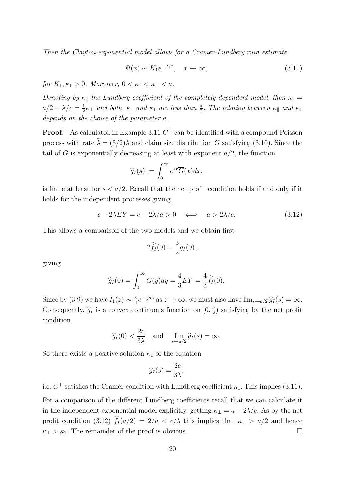Then the Clayton-exponential model allows for a Cramér-Lundberg ruin estimate

$$
\Psi(x) \sim K_1 e^{-\kappa_1 x}, \quad x \to \infty,
$$
\n(3.11)

for  $K_1, \kappa_1 > 0$ . Moreover,  $0 < \kappa_1 < \kappa_1 < a$ .

Denoting by  $\kappa_{\parallel}$  the Lundberg coefficient of the completely dependent model, then  $\kappa_{\parallel} =$  $a/2 - \lambda/c = \frac{1}{2}$  $\frac{1}{2}\kappa_\perp$  and both,  $\kappa_\parallel$  and  $\kappa_1$  are less than  $\frac{a}{2}$ . The relation between  $\kappa_\parallel$  and  $\kappa_1$ depends on the choice of the parameter a.

**Proof.** As calculated in Example 3.11  $C^+$  can be identified with a compound Poisson process with rate  $\lambda = (3/2)\lambda$  and claim size distribution G satisfying (3.10). Since the tail of G is exponentially decreasing at least with exponent  $a/2$ , the function

$$
\widehat{g}_I(s) := \int_0^\infty e^{sx} \overline{G}(x) dx,
$$

is finite at least for  $s < a/2$ . Recall that the net profit condition holds if and only if it holds for the independent processes giving

$$
c - 2\lambda EY = c - 2\lambda/a > 0 \iff a > 2\lambda/c.
$$
 (3.12)

This allows a comparison of the two models and we obtain first

$$
2\widehat{f}_I(0) = \frac{3}{2}g_I(0) \,,
$$

giving

$$
\widehat{g}_I(0) = \int_0^\infty \overline{G}(y) dy = \frac{4}{3} EY = \frac{4}{3} \widehat{f}_I(0).
$$

Since by (3.9) we have  $I_1(z) \sim \frac{\pi}{4}$  $\frac{\pi}{4}e^{-\frac{1}{2}az}$  as  $z \to \infty$ , we must also have  $\lim_{s \to a/2} \hat{g}_I(s) = \infty$ . Consequently,  $\hat{g}_I$  is a convex continuous function on  $[0, \frac{a}{2}]$  $\frac{a}{2}$ ) satisfying by the net profit condition

$$
\widehat{g}_I(0) < \frac{2c}{3\lambda} \quad \text{and} \quad \lim_{s \to a/2} \widehat{g}_I(s) = \infty.
$$

So there exists a positive solution  $\kappa_1$  of the equation

$$
\widehat{g}_I(s) = \frac{2c}{3\lambda},
$$

i.e.  $C^+$  satisfies the Cramér condition with Lundberg coefficient  $\kappa_1$ . This implies (3.11).

For a comparison of the different Lundberg coefficients recall that we can calculate it in the independent exponential model explicitly, getting  $\kappa_{\perp} = a - 2\lambda/c$ . As by the net profit condition (3.12)  $\widehat{f}_I(a/2) = 2/a < c/\lambda$  this implies that  $\kappa_{\perp} > a/2$  and hence  $\kappa_{\perp} > \kappa_1$ . The remainder of the proof is obvious.  $\Box$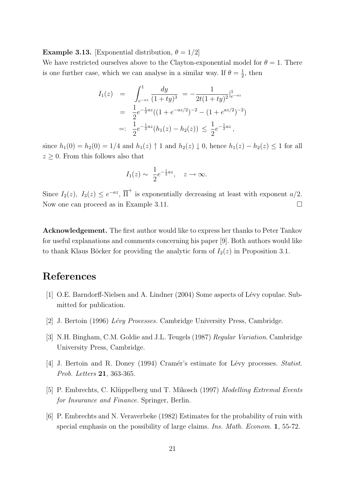**Example 3.13.** [Exponential distribution,  $\theta = 1/2$ ]

We have restricted ourselves above to the Clayton-exponential model for  $\theta = 1$ . There is one further case, which we can analyse in a similar way. If  $\theta = \frac{1}{2}$  $\frac{1}{2}$ , then

$$
I_1(z) = \int_{e^{-az}}^1 \frac{dy}{(1+ty)^3} = -\frac{1}{2t(1+ty)^2}|_{e^{-az}}^1
$$
  
=  $\frac{1}{2}e^{-\frac{1}{2}az}((1+e^{-az/2})^{-2} - (1+e^{az/2})^{-2})$   
=:  $\frac{1}{2}e^{-\frac{1}{2}az}(h_1(z) - h_2(z)) \le \frac{1}{2}e^{-\frac{1}{2}az}$ ,

since  $h_1(0) = h_2(0) = 1/4$  and  $h_1(z) \uparrow 1$  and  $h_2(z) \downarrow 0$ , hence  $h_1(z) - h_2(z) \leq 1$  for all  $z \geq 0$ . From this follows also that

$$
I_1(z) \sim \frac{1}{2} e^{-\frac{1}{2}az}
$$
,  $z \to \infty$ .

Since  $I_2(z)$ ,  $I_3(z) \leq e^{-az}$ ,  $\overline{\Pi}^+$  is exponentially decreasing at least with exponent  $a/2$ . Now one can proceed as in Example 3.11.

Acknowledgement. The first author would like to express her thanks to Peter Tankov for useful explanations and comments concerning his paper [9]. Both authors would like to thank Klaus Böcker for providing the analytic form of  $I_2(z)$  in Proposition 3.1.

## References

- [1] O.E. Barndorff-Nielsen and A. Lindner (2004) Some aspects of Lévy copulae. Submitted for publication.
- [2] J. Bertoin (1996)  $Lévy$  Processes. Cambridge University Press, Cambridge.
- [3] N.H. Bingham, C.M. Goldie and J.L. Teugels (1987) Regular Variation. Cambridge University Press, Cambridge.
- [4] J. Bertoin and R. Doney (1994) Cramér's estimate for Lévy processes. Statist. Prob. Letters 21, 363-365.
- [5] P. Embrechts, C. Klüppelberg und T. Mikosch (1997) Modelling Extremal Events for Insurance and Finance. Springer, Berlin.
- [6] P. Embrechts and N. Veraverbeke (1982) Estimates for the probability of ruin with special emphasis on the possibility of large claims. *Ins. Math. Econom.* 1, 55-72.